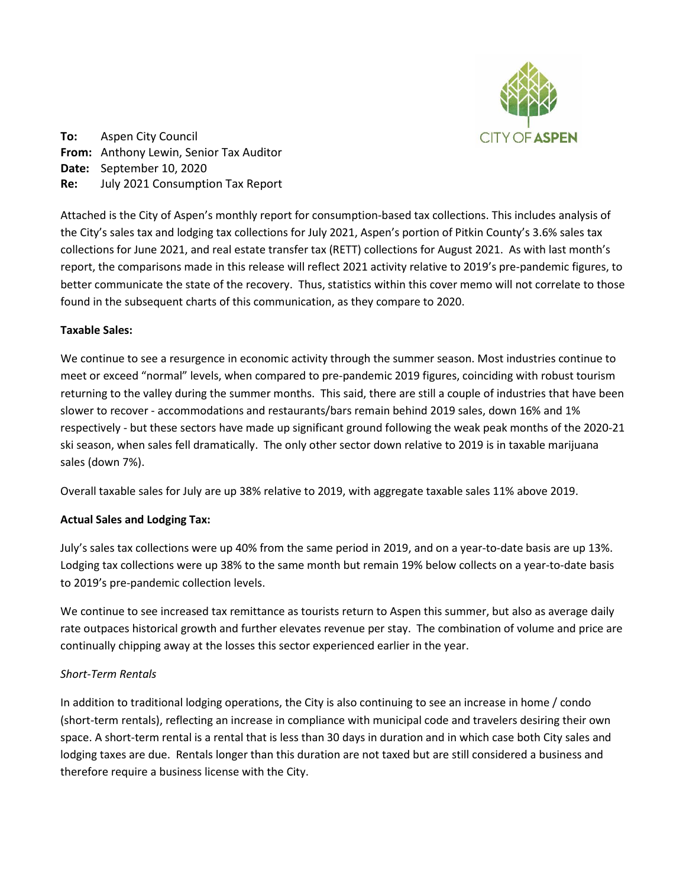

**To:** Aspen City Council **From:** Anthony Lewin, Senior Tax Auditor **Date:** September 10, 2020 **Re:** July 2021 Consumption Tax Report

Attached is the City of Aspen's monthly report for consumption-based tax collections. This includes analysis of the City's sales tax and lodging tax collections for July 2021, Aspen's portion of Pitkin County's 3.6% sales tax collections for June 2021, and real estate transfer tax (RETT) collections for August 2021. As with last month's report, the comparisons made in this release will reflect 2021 activity relative to 2019's pre-pandemic figures, to better communicate the state of the recovery. Thus, statistics within this cover memo will not correlate to those found in the subsequent charts of this communication, as they compare to 2020.

## **Taxable Sales:**

We continue to see a resurgence in economic activity through the summer season. Most industries continue to meet or exceed "normal" levels, when compared to pre-pandemic 2019 figures, coinciding with robust tourism returning to the valley during the summer months. This said, there are still a couple of industries that have been slower to recover - accommodations and restaurants/bars remain behind 2019 sales, down 16% and 1% respectively - but these sectors have made up significant ground following the weak peak months of the 2020-21 ski season, when sales fell dramatically. The only other sector down relative to 2019 is in taxable marijuana sales (down 7%).

Overall taxable sales for July are up 38% relative to 2019, with aggregate taxable sales 11% above 2019.

## **Actual Sales and Lodging Tax:**

July's sales tax collections were up 40% from the same period in 2019, and on a year-to-date basis are up 13%. Lodging tax collections were up 38% to the same month but remain 19% below collects on a year-to-date basis to 2019's pre-pandemic collection levels.

We continue to see increased tax remittance as tourists return to Aspen this summer, but also as average daily rate outpaces historical growth and further elevates revenue per stay. The combination of volume and price are continually chipping away at the losses this sector experienced earlier in the year.

## *Short-Term Rentals*

In addition to traditional lodging operations, the City is also continuing to see an increase in home / condo (short-term rentals), reflecting an increase in compliance with municipal code and travelers desiring their own space. A short-term rental is a rental that is less than 30 days in duration and in which case both City sales and lodging taxes are due. Rentals longer than this duration are not taxed but are still considered a business and therefore require a business license with the City.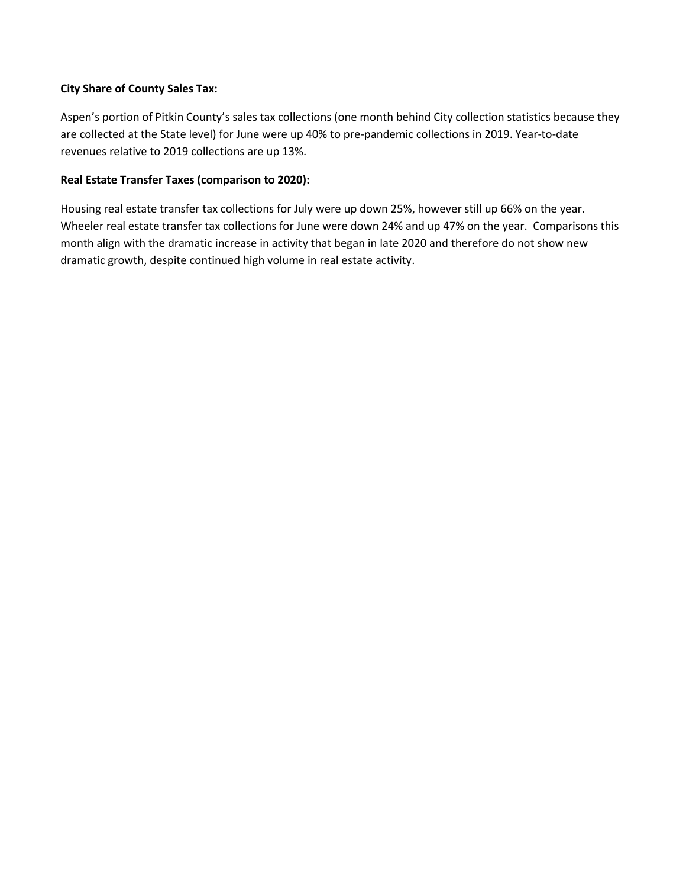## **City Share of County Sales Tax:**

Aspen's portion of Pitkin County's sales tax collections (one month behind City collection statistics because they are collected at the State level) for June were up 40% to pre-pandemic collections in 2019. Year-to-date revenues relative to 2019 collections are up 13%.

## **Real Estate Transfer Taxes (comparison to 2020):**

Housing real estate transfer tax collections for July were up down 25%, however still up 66% on the year. Wheeler real estate transfer tax collections for June were down 24% and up 47% on the year. Comparisons this month align with the dramatic increase in activity that began in late 2020 and therefore do not show new dramatic growth, despite continued high volume in real estate activity.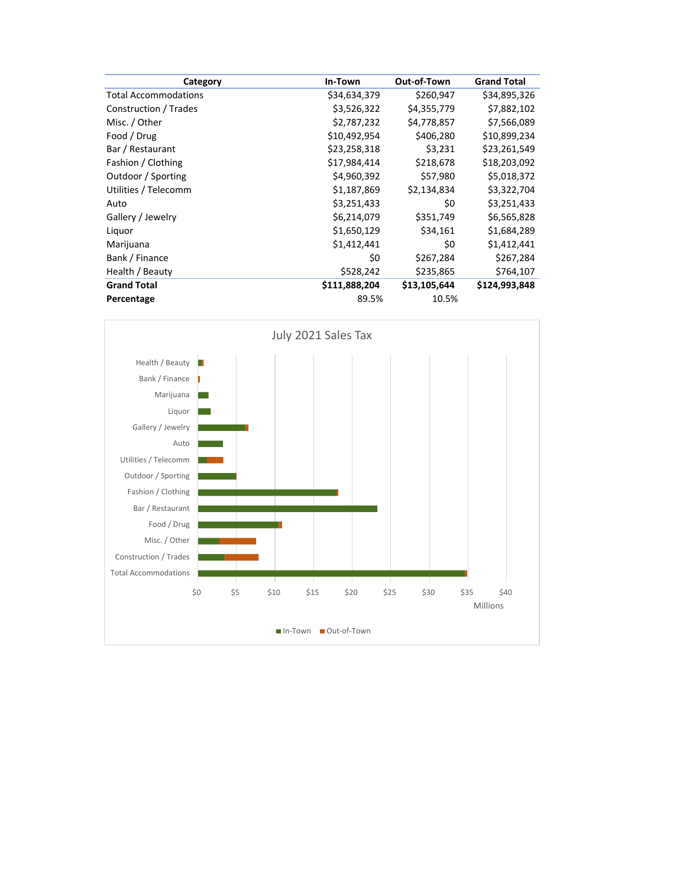| Category                    | In-Town       | Out-of-Town  | <b>Grand Total</b> |
|-----------------------------|---------------|--------------|--------------------|
| <b>Total Accommodations</b> | \$34,634,379  | \$260,947    | \$34,895,326       |
| Construction / Trades       | \$3,526,322   | \$4,355,779  | \$7,882,102        |
| Misc. / Other               | \$2,787,232   | \$4,778,857  | \$7,566,089        |
| Food / Drug                 | \$10,492,954  | \$406,280    | \$10,899,234       |
| Bar / Restaurant            | \$23,258,318  | \$3,231      | \$23,261,549       |
| Fashion / Clothing          | \$17,984,414  | \$218,678    | \$18,203,092       |
| Outdoor / Sporting          | \$4,960,392   | \$57,980     | \$5,018,372        |
| Utilities / Telecomm        | \$1,187,869   | \$2,134,834  | \$3,322,704        |
| Auto                        | \$3,251,433   | \$0          | \$3,251,433        |
| Gallery / Jewelry           | \$6,214,079   | \$351,749    | \$6,565,828        |
| Liquor                      | \$1,650,129   | \$34,161     | \$1,684,289        |
| Marijuana                   | \$1,412,441   | \$0          | \$1,412,441        |
| Bank / Finance              | \$0           | \$267,284    | \$267,284          |
| Health / Beauty             | \$528,242     | \$235,865    | \$764,107          |
| <b>Grand Total</b>          | \$111,888,204 | \$13,105,644 | \$124,993,848      |
| Percentage                  | 89.5%         | 10.5%        |                    |

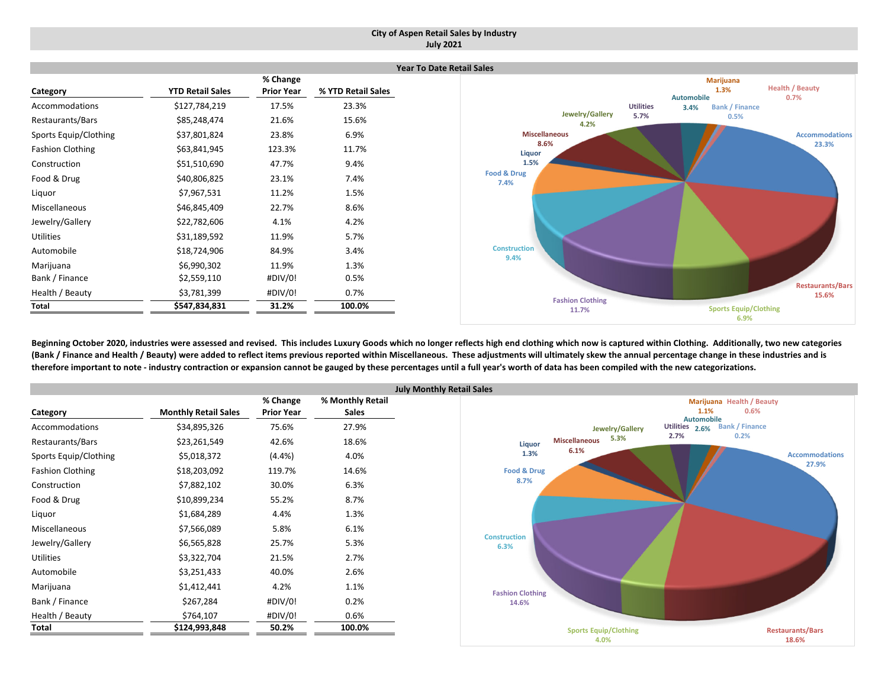### **City of Aspen Retail Sales by Industry July 2021**

|                       |                         |                   |                    | <b>Year To Date Retail Sales</b> |
|-----------------------|-------------------------|-------------------|--------------------|----------------------------------|
|                       |                         | % Change          |                    |                                  |
| Category              | <b>YTD Retail Sales</b> | <b>Prior Year</b> | % YTD Retail Sales | Automobile                       |
| Accommodations        | \$127,784,219           | 17.5%             | 23.3%              | <b>Utilities</b><br>3.4%         |
| Restaurants/Bars      | \$85,248,474            | 21.6%             | 15.6%              | Jewelry/Gallery<br>5.7%<br>4.2%  |
| Sports Equip/Clothing | \$37,801,824            | 23.8%             | 6.9%               | <b>Miscellaneous</b>             |
| Fashion Clothing      | \$63,841,945            | 123.3%            | 11.7%              | 8.6%<br>Liquor                   |
| Construction          | \$51,510,690            | 47.7%             | 9.4%               | 1.5%                             |
| Food & Drug           | \$40,806,825            | 23.1%             | 7.4%               | Food & Drug<br>7.4%              |
| Liquor                | \$7,967,531             | 11.2%             | 1.5%               |                                  |
| Miscellaneous         | \$46,845,409            | 22.7%             | 8.6%               |                                  |
| Jewelry/Gallery       | \$22,782,606            | 4.1%              | 4.2%               |                                  |
| Utilities             | \$31,189,592            | 11.9%             | 5.7%               |                                  |
| Automobile            | \$18,724,906            | 84.9%             | 3.4%               | <b>Construction</b><br>9.4%      |
| Marijuana             | \$6,990,302             | 11.9%             | 1.3%               |                                  |
| Bank / Finance        | \$2,559,110             | #DIV/0!           | 0.5%               |                                  |
| Health / Beauty       | \$3,781,399             | #DIV/0!           | 0.7%               |                                  |
| Total                 | \$547,834,831           | 31.2%             | 100.0%             | <b>Fashion Clothing</b><br>11.7% |

Beginning October 2020, industries were assessed and revised. This includes Luxury Goods which no longer reflects high end clothing which now is captured within Clothing. Additionally, two new categories (Bank / Finance and Health / Beauty) were added to reflect items previous reported within Miscellaneous. These adjustments will ultimately skew the annual percentage change in these industries and is therefore important to note - industry contraction or expansion cannot be gauged by these percentages until a full year's worth of data has been compiled with the new categorizations.

|                         |                             | % Change          | % Monthly Retail |
|-------------------------|-----------------------------|-------------------|------------------|
| Category                | <b>Monthly Retail Sales</b> | <b>Prior Year</b> | <b>Sales</b>     |
| Accommodations          | \$34,895,326                | 75.6%             | 27.9%            |
| Restaurants/Bars        | \$23,261,549                | 42.6%             | 18.6%            |
| Sports Equip/Clothing   | \$5,018,372                 | $(4.4\%)$         | 4.0%             |
| <b>Fashion Clothing</b> | \$18,203,092                | 119.7%            | 14.6%            |
| Construction            | \$7,882,102                 | 30.0%             | 6.3%             |
| Food & Drug             | \$10,899,234                | 55.2%             | 8.7%             |
| Liquor                  | \$1,684,289                 | 4.4%              | 1.3%             |
| Miscellaneous           | \$7,566,089                 | 5.8%              | 6.1%             |
| Jewelry/Gallery         | \$6,565,828                 | 25.7%             | 5.3%             |
| <b>Utilities</b>        | \$3,322,704                 | 21.5%             | 2.7%             |
| Automobile              | \$3,251,433                 | 40.0%             | 2.6%             |
| Marijuana               | \$1,412,441                 | 4.2%              | 1.1%             |
| Bank / Finance          | \$267,284                   | #DIV/0!           | 0.2%             |
| Health / Beauty         | \$764,107                   | #DIV/0!           | 0.6%             |
| Total                   | \$124,993,848               | 50.2%             | 100.0%           |



**Accommodations23.3%**

**Health / Beauty 0.7%**

> **Restaurants/Bars 15.6%**

**Sports Equip/Clothing 6.9%**

**Marijuana 1.3%**

> **Bank / Finance 0.5%**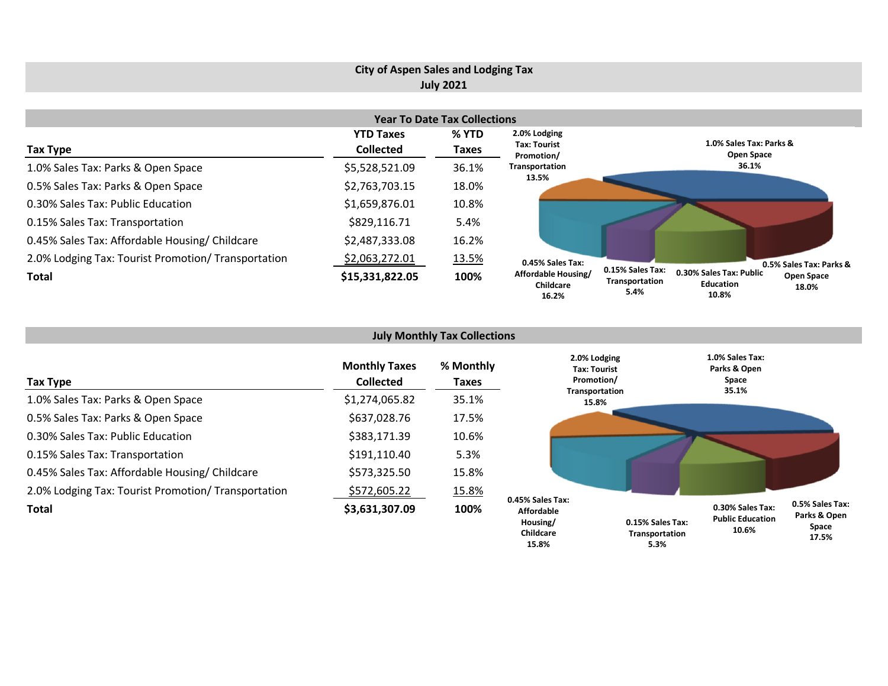## **City of Aspen Sales and Lodging Tax July 2021**

|                                                     | <b>Year To Date Tax Collections</b> |       |                                           |                                                                                                                           |  |  |  |  |  |  |
|-----------------------------------------------------|-------------------------------------|-------|-------------------------------------------|---------------------------------------------------------------------------------------------------------------------------|--|--|--|--|--|--|
|                                                     | <b>YTD Taxes</b>                    | % YTD | 2.0% Lodging                              |                                                                                                                           |  |  |  |  |  |  |
| Tax Type                                            | <b>Collected</b>                    | Taxes | <b>Tax: Tourist</b><br>Promotion/         | 1.0% Sales Tax: Parks &<br><b>Open Space</b>                                                                              |  |  |  |  |  |  |
| 1.0% Sales Tax: Parks & Open Space                  | \$5,528,521.09                      | 36.1% | Transportation                            | 36.1%                                                                                                                     |  |  |  |  |  |  |
| 0.5% Sales Tax: Parks & Open Space                  | \$2,763,703.15                      | 18.0% | 13.5%                                     |                                                                                                                           |  |  |  |  |  |  |
| 0.30% Sales Tax: Public Education                   | \$1,659,876.01                      | 10.8% |                                           |                                                                                                                           |  |  |  |  |  |  |
| 0.15% Sales Tax: Transportation                     | \$829,116.71                        | 5.4%  |                                           |                                                                                                                           |  |  |  |  |  |  |
| 0.45% Sales Tax: Affordable Housing/ Childcare      | \$2,487,333.08                      | 16.2% |                                           |                                                                                                                           |  |  |  |  |  |  |
| 2.0% Lodging Tax: Tourist Promotion/ Transportation | \$2,063,272.01                      | 13.5% | 0.45% Sales Tax:                          | 0.5% Sales Tax: Parks &                                                                                                   |  |  |  |  |  |  |
| Total                                               | \$15,331,822.05                     | 100%  | Affordable Housing/<br>Childcare<br>16.2% | 0.15% Sales Tax:<br>0.30% Sales Tax: Public<br>Open Space<br>Transportation<br><b>Education</b><br>18.0%<br>5.4%<br>10.8% |  |  |  |  |  |  |

| <b>July Monthly Tax Collections</b>                 |                                          |                    |                                                                |                                           |                                                      |                                          |  |  |  |
|-----------------------------------------------------|------------------------------------------|--------------------|----------------------------------------------------------------|-------------------------------------------|------------------------------------------------------|------------------------------------------|--|--|--|
| Tax Type                                            | <b>Monthly Taxes</b><br><b>Collected</b> | % Monthly<br>Taxes | 2.0% Lodging<br>Tax: Tourist<br>Promotion/                     |                                           | 1.0% Sales Tax:<br>Parks & Open<br>Space<br>35.1%    |                                          |  |  |  |
| 1.0% Sales Tax: Parks & Open Space                  | \$1,274,065.82                           | 35.1%              | Transportation<br>15.8%                                        |                                           |                                                      |                                          |  |  |  |
| 0.5% Sales Tax: Parks & Open Space                  | \$637,028.76                             | 17.5%              |                                                                |                                           |                                                      |                                          |  |  |  |
| 0.30% Sales Tax: Public Education                   | \$383,171.39                             | 10.6%              |                                                                |                                           |                                                      |                                          |  |  |  |
| 0.15% Sales Tax: Transportation                     | \$191,110.40                             | 5.3%               |                                                                |                                           |                                                      |                                          |  |  |  |
| 0.45% Sales Tax: Affordable Housing/ Childcare      | \$573,325.50                             | 15.8%              |                                                                |                                           |                                                      |                                          |  |  |  |
| 2.0% Lodging Tax: Tourist Promotion/ Transportation | \$572,605.22                             | 15.8%              |                                                                |                                           |                                                      |                                          |  |  |  |
| Total                                               | \$3,631,307.09                           | 100%               | 0.45% Sales Tax:<br><b>Affordable</b><br>Housing/<br>Childrare | 0.15% Sales Tax:<br><b>Transnortation</b> | 0.30% Sales Tax:<br><b>Public Education</b><br>10.6% | 0.5% Sales Tax:<br>Parks & Open<br>Space |  |  |  |

**17.5%**

**Transportation 5.3%**

**Childcare 15.8%**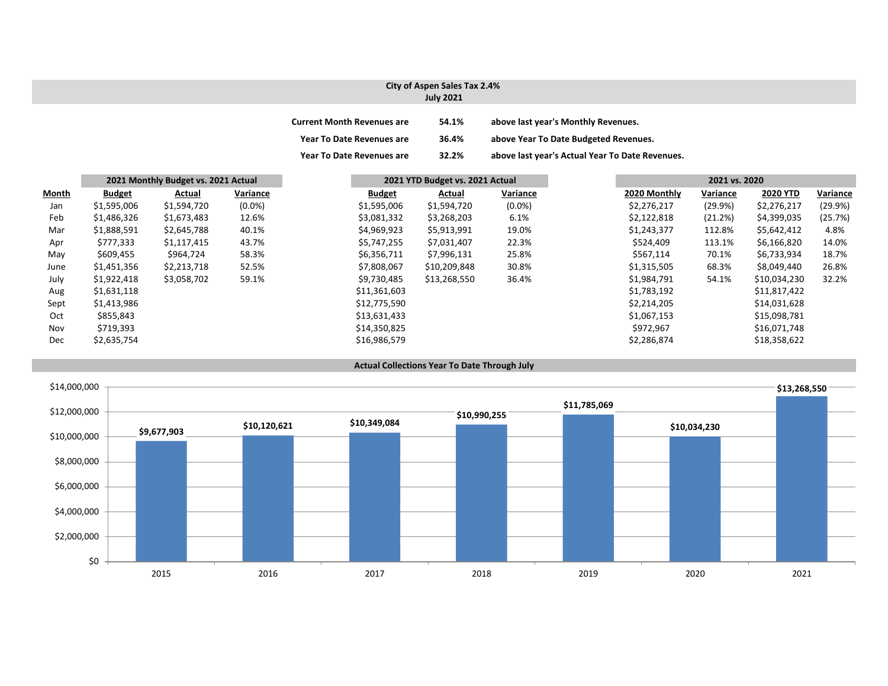### **City of Aspen Sales Tax 2.4% July 2021**

| <b>Current Month Revenues are</b> | 54.1% | above last year's Monthly Revenues.             |
|-----------------------------------|-------|-------------------------------------------------|
| <b>Year To Date Revenues are</b>  | 36.4% | above Year To Date Budgeted Revenues.           |
| <b>Year To Date Revenues are</b>  | 32.2% | above last year's Actual Year To Date Revenues. |

|              | 2021 Monthly Budget vs. 2021 Actual |             |           | 2021 YTD Budget vs. 2021 Actual |              |           | 2021 vs. 2020 |          |                 |          |
|--------------|-------------------------------------|-------------|-----------|---------------------------------|--------------|-----------|---------------|----------|-----------------|----------|
| <b>Month</b> | <b>Budget</b>                       | Actual      | Variance  | <b>Budget</b>                   | Actual       | Variance  | 2020 Monthly  | Variance | <b>2020 YTD</b> | Variance |
| Jan          | \$1,595,006                         | \$1,594,720 | $(0.0\%)$ | \$1,595,006                     | \$1,594,720  | $(0.0\%)$ | \$2,276,217   | (29.9%)  | \$2,276,217     | (29.9%)  |
| Feb          | \$1,486,326                         | \$1,673,483 | 12.6%     | \$3,081,332                     | \$3,268,203  | 6.1%      | \$2,122,818   | (21.2%)  | \$4,399,035     | (25.7%)  |
| Mar          | \$1,888,591                         | \$2,645,788 | 40.1%     | \$4,969,923                     | \$5,913,991  | 19.0%     | \$1,243,377   | 112.8%   | \$5,642,412     | 4.8%     |
| Apr          | \$777,333                           | \$1,117,415 | 43.7%     | \$5,747,255                     | \$7,031,407  | 22.3%     | \$524,409     | 113.1%   | \$6,166,820     | 14.0%    |
| May          | \$609,455                           | \$964,724   | 58.3%     | \$6,356,711                     | \$7,996,131  | 25.8%     | \$567,114     | 70.1%    | \$6,733,934     | 18.7%    |
| June         | \$1,451,356                         | \$2,213,718 | 52.5%     | \$7,808,067                     | \$10,209,848 | 30.8%     | \$1,315,505   | 68.3%    | \$8,049,440     | 26.8%    |
| July         | \$1,922,418                         | \$3,058,702 | 59.1%     | \$9,730,485                     | \$13,268,550 | 36.4%     | \$1,984,791   | 54.1%    | \$10,034,230    | 32.2%    |
| Aug          | \$1,631,118                         |             |           | \$11,361,603                    |              |           | \$1,783,192   |          | \$11,817,422    |          |
| Sept         | \$1,413,986                         |             |           | \$12,775,590                    |              |           | \$2,214,205   |          | \$14,031,628    |          |
| Oct          | \$855,843                           |             |           | \$13,631,433                    |              |           | \$1,067,153   |          | \$15,098,781    |          |
| Nov          | \$719,393                           |             |           | \$14,350,825                    |              |           | \$972,967     |          | \$16,071,748    |          |
| Dec          | \$2,635,754                         |             |           | \$16,986,579                    |              |           | \$2,286,874   |          | \$18,358,622    |          |

#### **Actual Collections Year To Date Through July**

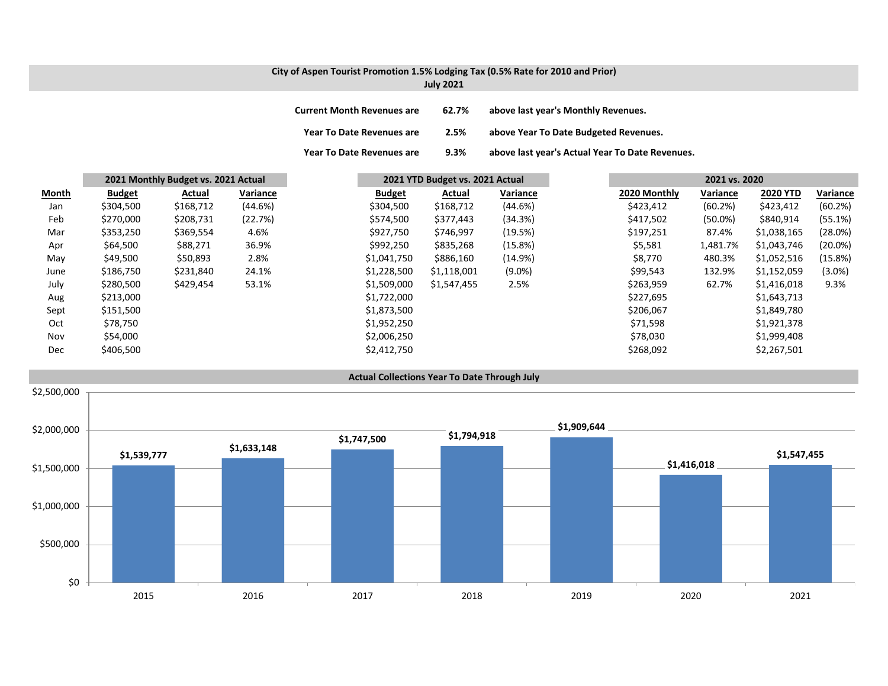# **City of Aspen Tourist Promotion 1.5% Lodging Tax (0.5% Rate for 2010 and Prior)**

| <b>July 2021</b> |  |  |  |
|------------------|--|--|--|
|------------------|--|--|--|

| <b>Current Month Revenues are</b> | 62.7% | above last year's Monthly Revenues.             |
|-----------------------------------|-------|-------------------------------------------------|
| Year To Date Revenues are         | 2.5%  | above Year To Date Budgeted Revenues.           |
| Year To Date Revenues are         | 9.3%  | above last year's Actual Year To Date Revenues. |

|              | 2021 Monthly Budget vs. 2021 Actual |           |          | 2021 YTD Budget vs. 2021 Actual |             |           |              |            | 2021 vs. 2020   |            |  |
|--------------|-------------------------------------|-----------|----------|---------------------------------|-------------|-----------|--------------|------------|-----------------|------------|--|
| <b>Month</b> | <b>Budget</b>                       | Actual    | Variance | <b>Budget</b>                   | Actual      | Variance  | 2020 Monthly | Variance   | <b>2020 YTD</b> | Variance   |  |
| Jan          | \$304,500                           | \$168,712 | (44.6%)  | \$304,500                       | \$168,712   | (44.6%)   | \$423,412    | (60.2%)    | \$423,412       | (60.2%)    |  |
| Feb          | \$270,000                           | \$208,731 | (22.7%)  | \$574,500                       | \$377,443   | (34.3%)   | \$417,502    | $(50.0\%)$ | \$840,914       | (55.1%)    |  |
| Mar          | \$353,250                           | \$369,554 | 4.6%     | \$927,750                       | \$746,997   | (19.5%)   | \$197,251    | 87.4%      | \$1,038,165     | (28.0%)    |  |
| Apr          | \$64,500                            | \$88,271  | 36.9%    | \$992,250                       | \$835,268   | (15.8%)   | \$5,581      | 1,481.7%   | \$1,043,746     | $(20.0\%)$ |  |
| May          | \$49,500                            | \$50,893  | 2.8%     | \$1,041,750                     | \$886,160   | (14.9%)   | \$8,770      | 480.3%     | \$1,052,516     | (15.8%)    |  |
| June         | \$186,750                           | \$231,840 | 24.1%    | \$1,228,500                     | \$1,118,001 | $(9.0\%)$ | \$99,543     | 132.9%     | \$1,152,059     | $(3.0\%)$  |  |
| July         | \$280,500                           | \$429,454 | 53.1%    | \$1,509,000                     | \$1,547,455 | 2.5%      | \$263,959    | 62.7%      | \$1,416,018     | 9.3%       |  |
| Aug          | \$213,000                           |           |          | \$1,722,000                     |             |           | \$227,695    |            | \$1,643,713     |            |  |
| Sept         | \$151,500                           |           |          | \$1,873,500                     |             |           | \$206,067    |            | \$1,849,780     |            |  |
| Oct          | \$78,750                            |           |          | \$1,952,250                     |             |           | \$71,598     |            | \$1,921,378     |            |  |
| Nov          | \$54,000                            |           |          | \$2,006,250                     |             |           | \$78,030     |            | \$1,999,408     |            |  |
| Dec          | \$406,500                           |           |          | \$2,412,750                     |             |           | \$268,092    |            | \$2,267,501     |            |  |

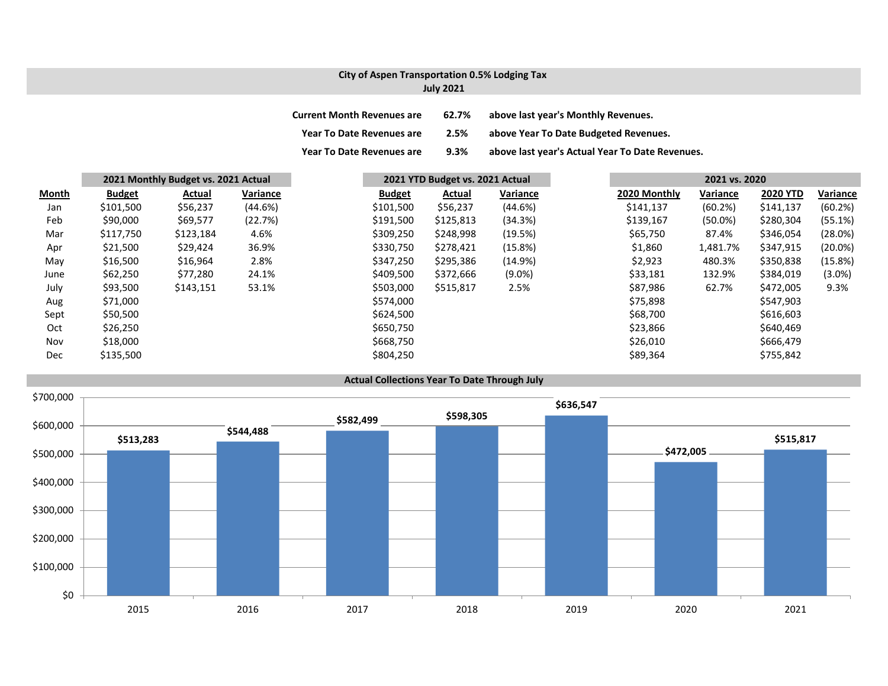## **City of Aspen Transportation 0.5% Lodging Tax July 2021**

| <b>Current Month Revenues are</b> | 62.7% | above last year's Monthly Revenues.             |
|-----------------------------------|-------|-------------------------------------------------|
| <b>Year To Date Revenues are</b>  | 2.5%  | above Year To Date Budgeted Revenues.           |
| <b>Year To Date Revenues are</b>  | 9.3%  | above last year's Actual Year To Date Revenues. |

|              | 2021 Monthly Budget vs. 2021 Actual |           |          |               | 2021 YTD Budget vs. 2021 Actual |           |  | 2021 vs. 2020 |            |                 |            |
|--------------|-------------------------------------|-----------|----------|---------------|---------------------------------|-----------|--|---------------|------------|-----------------|------------|
| <b>Month</b> | <b>Budget</b>                       | Actual    | Variance | <b>Budget</b> | Actual                          | Variance  |  | 2020 Monthly  | Variance   | <b>2020 YTD</b> | Variance   |
| Jan          | \$101,500                           | \$56,237  | (44.6%)  | \$101,500     | \$56,237                        | (44.6%)   |  | \$141,137     | (60.2%)    | \$141,137       | (60.2%)    |
| Feb          | \$90,000                            | \$69,577  | (22.7%)  | \$191,500     | \$125,813                       | (34.3%)   |  | \$139,167     | $(50.0\%)$ | \$280,304       | (55.1%)    |
| Mar          | \$117,750                           | \$123,184 | 4.6%     | \$309,250     | \$248,998                       | (19.5%)   |  | \$65,750      | 87.4%      | \$346,054       | (28.0%)    |
| Apr          | \$21,500                            | \$29,424  | 36.9%    | \$330,750     | \$278,421                       | (15.8%)   |  | \$1,860       | 1,481.7%   | \$347,915       | $(20.0\%)$ |
| May          | \$16,500                            | \$16,964  | 2.8%     | \$347,250     | \$295,386                       | (14.9%)   |  | \$2,923       | 480.3%     | \$350,838       | (15.8%)    |
| June         | \$62,250                            | \$77,280  | 24.1%    | \$409,500     | \$372,666                       | $(9.0\%)$ |  | \$33,181      | 132.9%     | \$384,019       | $(3.0\%)$  |
| July         | \$93,500                            | \$143,151 | 53.1%    | \$503,000     | \$515,817                       | 2.5%      |  | \$87,986      | 62.7%      | \$472,005       | 9.3%       |
| Aug          | \$71,000                            |           |          | \$574,000     |                                 |           |  | \$75,898      |            | \$547,903       |            |
| Sept         | \$50,500                            |           |          | \$624,500     |                                 |           |  | \$68,700      |            | \$616,603       |            |
| Oct          | \$26,250                            |           |          | \$650,750     |                                 |           |  | \$23,866      |            | \$640,469       |            |
| Nov          | \$18,000                            |           |          | \$668,750     |                                 |           |  | \$26,010      |            | \$666,479       |            |
| Dec          | \$135,500                           |           |          | \$804,250     |                                 |           |  | \$89,364      |            | \$755,842       |            |

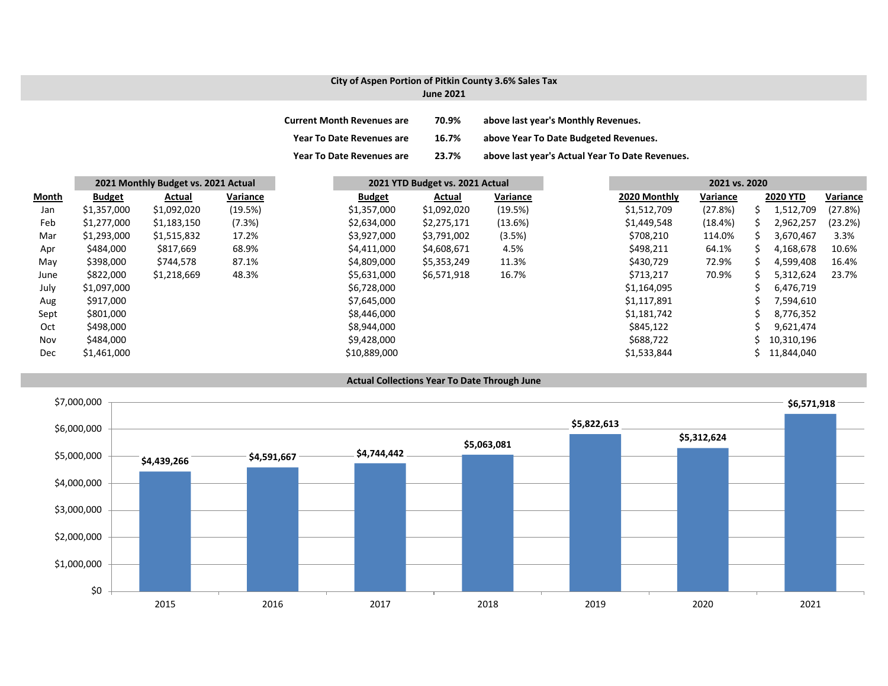## **City of Aspen Portion of Pitkin County 3.6% Sales Tax**

| <b>June 2021</b> |  |  |
|------------------|--|--|
|------------------|--|--|

| <b>Current Month Revenues are</b> | 70.9% | above last year's Monthly Revenues.             |
|-----------------------------------|-------|-------------------------------------------------|
| Year To Date Revenues are         | 16.7% | above Year To Date Budgeted Revenues.           |
| <b>Year To Date Revenues are</b>  | 23.7% | above last year's Actual Year To Date Revenues. |

|              | 2021 Monthly Budget vs. 2021 Actual |             |          | 2021 YTD Budget vs. 2021 Actual |               |             |          | 2021 vs. 2020 |          |    |                 |          |  |
|--------------|-------------------------------------|-------------|----------|---------------------------------|---------------|-------------|----------|---------------|----------|----|-----------------|----------|--|
| <b>Month</b> | <b>Budget</b>                       | Actual      | Variance |                                 | <b>Budget</b> | Actual      | Variance | 2020 Monthly  | Variance |    | <b>2020 YTD</b> | Variance |  |
| Jan          | \$1,357,000                         | \$1,092,020 | (19.5%)  |                                 | \$1,357,000   | \$1,092,020 | (19.5%)  | \$1,512,709   | (27.8%)  | S  | 1,512,709       | (27.8%)  |  |
| Feb          | \$1,277,000                         | \$1,183,150 | (7.3%)   |                                 | \$2,634,000   | \$2,275,171 | (13.6%)  | \$1,449,548   | (18.4%)  | S  | 2,962,257       | (23.2%)  |  |
| Mar          | \$1,293,000                         | \$1,515,832 | 17.2%    |                                 | \$3,927,000   | \$3,791,002 | (3.5%)   | \$708,210     | 114.0%   | S  | 3,670,467       | 3.3%     |  |
| Apr          | \$484,000                           | \$817,669   | 68.9%    |                                 | \$4,411,000   | \$4,608,671 | 4.5%     | \$498,211     | 64.1%    |    | 4,168,678       | 10.6%    |  |
| May          | \$398,000                           | \$744,578   | 87.1%    |                                 | \$4,809,000   | \$5,353,249 | 11.3%    | \$430,729     | 72.9%    |    | 4,599,408       | 16.4%    |  |
| June         | \$822,000                           | \$1,218,669 | 48.3%    |                                 | \$5,631,000   | \$6,571,918 | 16.7%    | \$713,217     | 70.9%    |    | 5,312,624       | 23.7%    |  |
| July         | \$1,097,000                         |             |          |                                 | \$6,728,000   |             |          | \$1,164,095   |          |    | 6,476,719       |          |  |
| Aug          | \$917,000                           |             |          |                                 | \$7,645,000   |             |          | \$1,117,891   |          |    | 7,594,610       |          |  |
| Sept         | \$801,000                           |             |          |                                 | \$8,446,000   |             |          | \$1,181,742   |          |    | 8,776,352       |          |  |
| Oct          | \$498,000                           |             |          |                                 | \$8,944,000   |             |          | \$845,122     |          |    | 9,621,474       |          |  |
| Nov          | \$484,000                           |             |          |                                 | \$9,428,000   |             |          | \$688,722     |          |    | 10,310,196      |          |  |
| Dec          | \$1,461,000                         |             |          |                                 | \$10,889,000  |             |          | \$1,533,844   |          | S. | 11,844,040      |          |  |



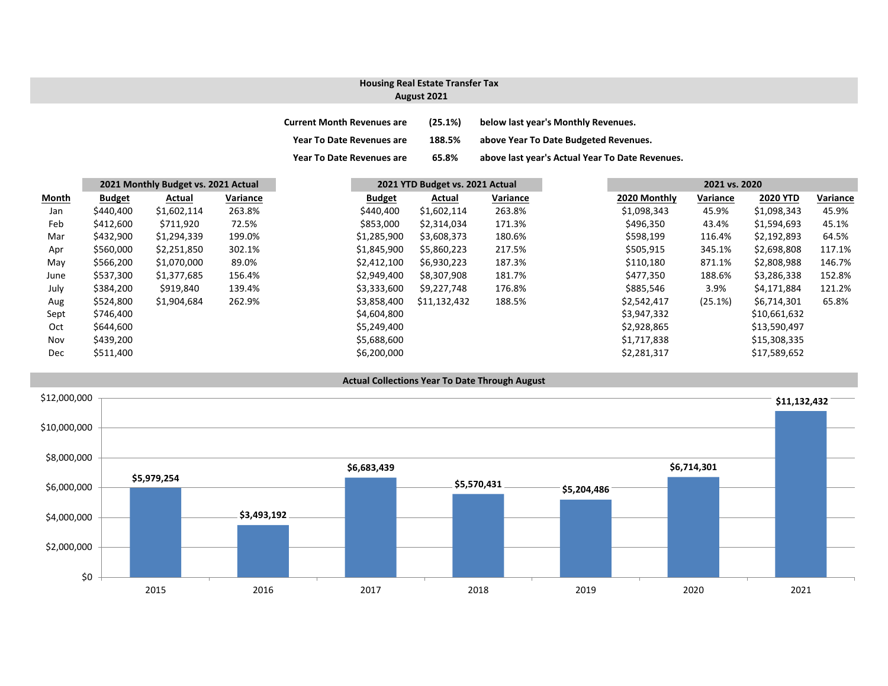## **August 2021 Housing Real Estate Transfer Tax**

| <b>Current Month Revenues are</b> | (25.1%) | below last year's Monthly Revenues.             |
|-----------------------------------|---------|-------------------------------------------------|
| <b>Year To Date Revenues are</b>  | 188.5%  | above Year To Date Budgeted Revenues.           |
| <b>Year To Date Revenues are</b>  | 65.8%   | above last year's Actual Year To Date Revenues. |

|              | 2021 Monthly Budget vs. 2021 Actual |             |          | 2021 YTD Budget vs. 2021 Actual |  |              | 2021 vs. 2020 |              |          |                 |          |
|--------------|-------------------------------------|-------------|----------|---------------------------------|--|--------------|---------------|--------------|----------|-----------------|----------|
| <b>Month</b> | <b>Budget</b>                       | Actual      | Variance | <b>Budget</b>                   |  | Actual       | Variance      | 2020 Monthly | Variance | <b>2020 YTD</b> | Variance |
| Jan          | \$440,400                           | \$1,602,114 | 263.8%   | \$440,400                       |  | \$1,602,114  | 263.8%        | \$1,098,343  | 45.9%    | \$1,098,343     | 45.9%    |
| Feb          | \$412,600                           | \$711,920   | 72.5%    | \$853,000                       |  | \$2,314,034  | 171.3%        | \$496,350    | 43.4%    | \$1,594,693     | 45.1%    |
| Mar          | \$432,900                           | \$1,294,339 | 199.0%   | \$1,285,900                     |  | \$3,608,373  | 180.6%        | \$598,199    | 116.4%   | \$2,192,893     | 64.5%    |
| Apr          | \$560,000                           | \$2,251,850 | 302.1%   | \$1,845,900                     |  | \$5,860,223  | 217.5%        | \$505,915    | 345.1%   | \$2,698,808     | 117.1%   |
| May          | \$566,200                           | \$1,070,000 | 89.0%    | \$2,412,100                     |  | \$6,930,223  | 187.3%        | \$110,180    | 871.1%   | \$2,808,988     | 146.7%   |
| June         | \$537,300                           | \$1,377,685 | 156.4%   | \$2,949,400                     |  | \$8,307,908  | 181.7%        | \$477,350    | 188.6%   | \$3,286,338     | 152.8%   |
| July         | \$384,200                           | \$919,840   | 139.4%   | \$3,333,600                     |  | \$9,227,748  | 176.8%        | \$885,546    | 3.9%     | \$4,171,884     | 121.2%   |
| Aug          | \$524,800                           | \$1,904,684 | 262.9%   | \$3,858,400                     |  | \$11,132,432 | 188.5%        | \$2,542,417  | (25.1%)  | \$6,714,301     | 65.8%    |
| Sept         | \$746,400                           |             |          | \$4,604,800                     |  |              |               | \$3,947,332  |          | \$10,661,632    |          |
| Oct          | \$644,600                           |             |          | \$5,249,400                     |  |              |               | \$2,928,865  |          | \$13,590,497    |          |
| Nov          | \$439,200                           |             |          | \$5,688,600                     |  |              |               | \$1,717,838  |          | \$15,308,335    |          |
| Dec          | \$511,400                           |             |          | \$6,200,000                     |  |              |               | \$2,281,317  |          | \$17,589,652    |          |